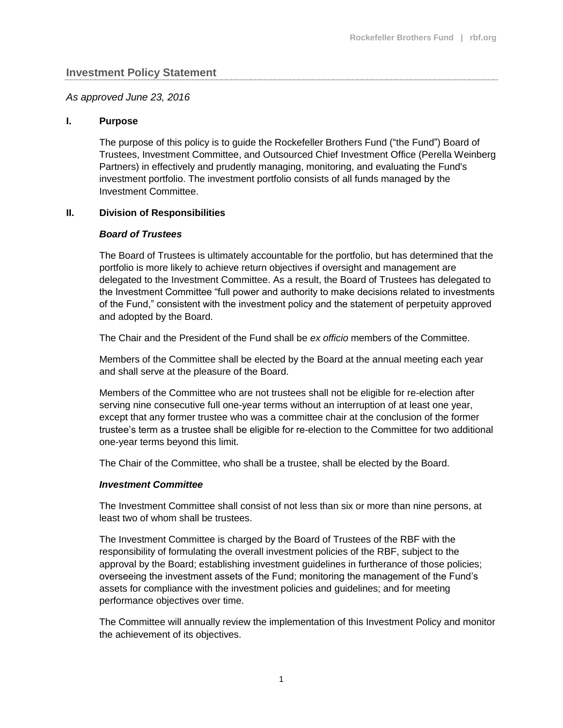## **Investment Policy Statement**

#### *As approved June 23, 2016*

#### **I. Purpose**

The purpose of this policy is to guide the Rockefeller Brothers Fund ("the Fund") Board of Trustees, Investment Committee, and Outsourced Chief Investment Office (Perella Weinberg Partners) in effectively and prudently managing, monitoring, and evaluating the Fund's investment portfolio. The investment portfolio consists of all funds managed by the Investment Committee.

#### **II. Division of Responsibilities**

#### *Board of Trustees*

The Board of Trustees is ultimately accountable for the portfolio, but has determined that the portfolio is more likely to achieve return objectives if oversight and management are delegated to the Investment Committee. As a result, the Board of Trustees has delegated to the Investment Committee "full power and authority to make decisions related to investments of the Fund," consistent with the investment policy and the statement of perpetuity approved and adopted by the Board.

The Chair and the President of the Fund shall be *ex officio* members of the Committee.

Members of the Committee shall be elected by the Board at the annual meeting each year and shall serve at the pleasure of the Board.

Members of the Committee who are not trustees shall not be eligible for re-election after serving nine consecutive full one-year terms without an interruption of at least one year, except that any former trustee who was a committee chair at the conclusion of the former trustee's term as a trustee shall be eligible for re-election to the Committee for two additional one-year terms beyond this limit.

The Chair of the Committee, who shall be a trustee, shall be elected by the Board.

#### *Investment Committee*

The Investment Committee shall consist of not less than six or more than nine persons, at least two of whom shall be trustees.

The Investment Committee is charged by the Board of Trustees of the RBF with the responsibility of formulating the overall investment policies of the RBF, subject to the approval by the Board; establishing investment guidelines in furtherance of those policies; overseeing the investment assets of the Fund; monitoring the management of the Fund's assets for compliance with the investment policies and guidelines; and for meeting performance objectives over time.

The Committee will annually review the implementation of this Investment Policy and monitor the achievement of its objectives.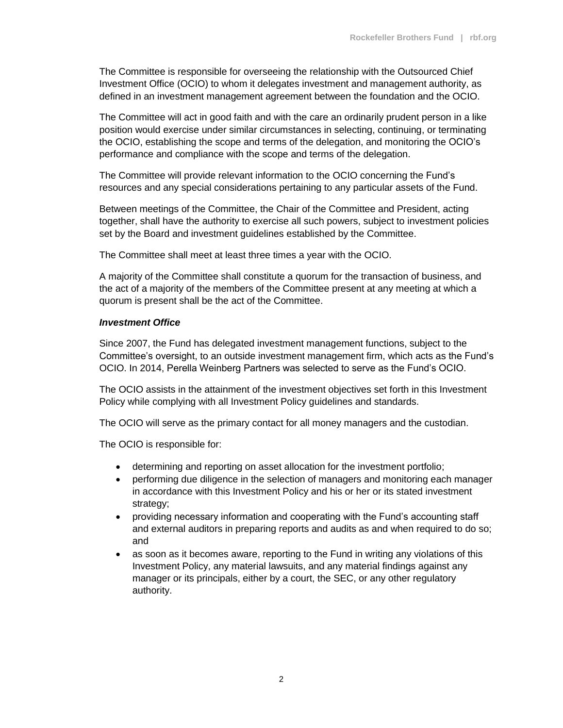The Committee is responsible for overseeing the relationship with the Outsourced Chief Investment Office (OCIO) to whom it delegates investment and management authority, as defined in an investment management agreement between the foundation and the OCIO.

The Committee will act in good faith and with the care an ordinarily prudent person in a like position would exercise under similar circumstances in selecting, continuing, or terminating the OCIO, establishing the scope and terms of the delegation, and monitoring the OCIO's performance and compliance with the scope and terms of the delegation.

The Committee will provide relevant information to the OCIO concerning the Fund's resources and any special considerations pertaining to any particular assets of the Fund.

Between meetings of the Committee, the Chair of the Committee and President, acting together, shall have the authority to exercise all such powers, subject to investment policies set by the Board and investment guidelines established by the Committee.

The Committee shall meet at least three times a year with the OCIO.

A majority of the Committee shall constitute a quorum for the transaction of business, and the act of a majority of the members of the Committee present at any meeting at which a quorum is present shall be the act of the Committee.

## *Investment Office*

Since 2007, the Fund has delegated investment management functions, subject to the Committee's oversight, to an outside investment management firm, which acts as the Fund's OCIO. In 2014, Perella Weinberg Partners was selected to serve as the Fund's OCIO.

The OCIO assists in the attainment of the investment objectives set forth in this Investment Policy while complying with all Investment Policy guidelines and standards.

The OCIO will serve as the primary contact for all money managers and the custodian.

The OCIO is responsible for:

- determining and reporting on asset allocation for the investment portfolio;
- performing due diligence in the selection of managers and monitoring each manager in accordance with this Investment Policy and his or her or its stated investment strategy;
- providing necessary information and cooperating with the Fund's accounting staff and external auditors in preparing reports and audits as and when required to do so; and
- as soon as it becomes aware, reporting to the Fund in writing any violations of this Investment Policy, any material lawsuits, and any material findings against any manager or its principals, either by a court, the SEC, or any other regulatory authority.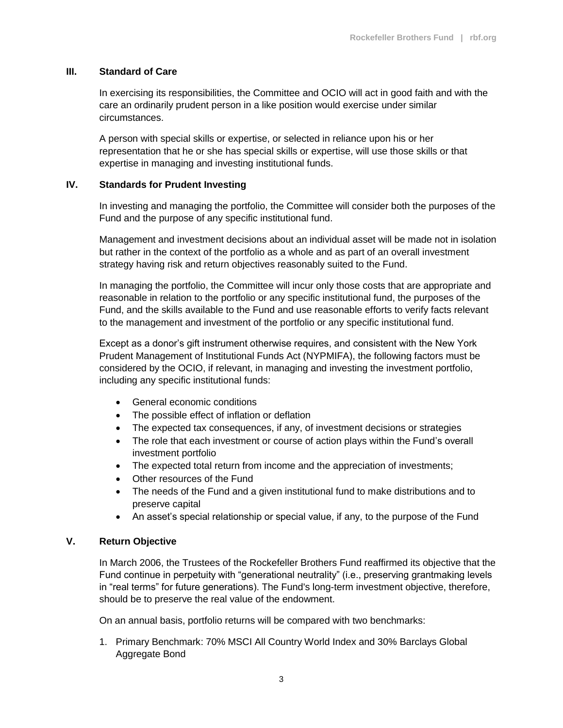## **III. Standard of Care**

In exercising its responsibilities, the Committee and OCIO will act in good faith and with the care an ordinarily prudent person in a like position would exercise under similar circumstances.

A person with special skills or expertise, or selected in reliance upon his or her representation that he or she has special skills or expertise, will use those skills or that expertise in managing and investing institutional funds.

## **IV. Standards for Prudent Investing**

In investing and managing the portfolio, the Committee will consider both the purposes of the Fund and the purpose of any specific institutional fund.

Management and investment decisions about an individual asset will be made not in isolation but rather in the context of the portfolio as a whole and as part of an overall investment strategy having risk and return objectives reasonably suited to the Fund.

In managing the portfolio, the Committee will incur only those costs that are appropriate and reasonable in relation to the portfolio or any specific institutional fund, the purposes of the Fund, and the skills available to the Fund and use reasonable efforts to verify facts relevant to the management and investment of the portfolio or any specific institutional fund.

Except as a donor's gift instrument otherwise requires, and consistent with the New York Prudent Management of Institutional Funds Act (NYPMIFA), the following factors must be considered by the OCIO, if relevant, in managing and investing the investment portfolio, including any specific institutional funds:

- General economic conditions
- The possible effect of inflation or deflation
- The expected tax consequences, if any, of investment decisions or strategies
- The role that each investment or course of action plays within the Fund's overall investment portfolio
- The expected total return from income and the appreciation of investments;
- Other resources of the Fund
- The needs of the Fund and a given institutional fund to make distributions and to preserve capital
- An asset's special relationship or special value, if any, to the purpose of the Fund

## **V. Return Objective**

In March 2006, the Trustees of the Rockefeller Brothers Fund reaffirmed its objective that the Fund continue in perpetuity with "generational neutrality" (i.e., preserving grantmaking levels in "real terms" for future generations). The Fund's long-term investment objective, therefore, should be to preserve the real value of the endowment.

On an annual basis, portfolio returns will be compared with two benchmarks:

1. Primary Benchmark: 70% MSCI All Country World Index and 30% Barclays Global Aggregate Bond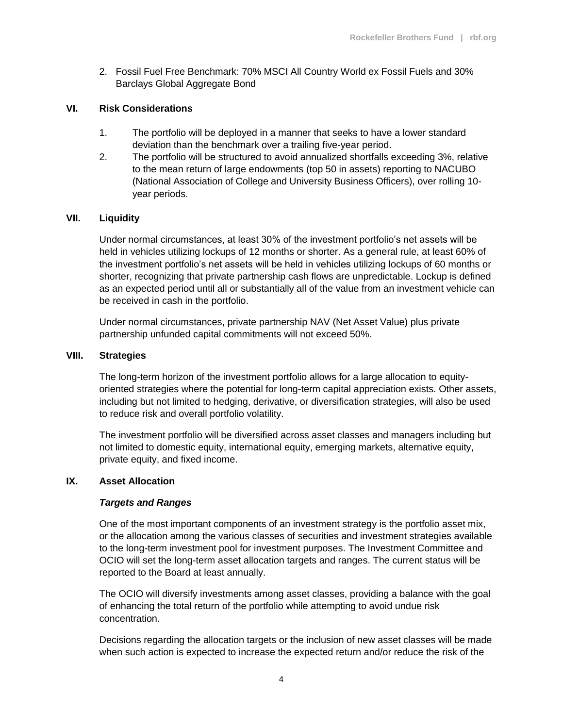2. Fossil Fuel Free Benchmark: 70% MSCI All Country World ex Fossil Fuels and 30% Barclays Global Aggregate Bond

# **VI. Risk Considerations**

- 1. The portfolio will be deployed in a manner that seeks to have a lower standard deviation than the benchmark over a trailing five-year period.
- 2. The portfolio will be structured to avoid annualized shortfalls exceeding 3%, relative to the mean return of large endowments (top 50 in assets) reporting to NACUBO (National Association of College and University Business Officers), over rolling 10 year periods.

# **VII. Liquidity**

Under normal circumstances, at least 30% of the investment portfolio's net assets will be held in vehicles utilizing lockups of 12 months or shorter. As a general rule, at least 60% of the investment portfolio's net assets will be held in vehicles utilizing lockups of 60 months or shorter, recognizing that private partnership cash flows are unpredictable. Lockup is defined as an expected period until all or substantially all of the value from an investment vehicle can be received in cash in the portfolio.

Under normal circumstances, private partnership NAV (Net Asset Value) plus private partnership unfunded capital commitments will not exceed 50%.

## **VIII. Strategies**

The long-term horizon of the investment portfolio allows for a large allocation to equityoriented strategies where the potential for long-term capital appreciation exists. Other assets, including but not limited to hedging, derivative, or diversification strategies, will also be used to reduce risk and overall portfolio volatility.

The investment portfolio will be diversified across asset classes and managers including but not limited to domestic equity, international equity, emerging markets, alternative equity, private equity, and fixed income.

## **IX. Asset Allocation**

## *Targets and Ranges*

One of the most important components of an investment strategy is the portfolio asset mix, or the allocation among the various classes of securities and investment strategies available to the long-term investment pool for investment purposes. The Investment Committee and OCIO will set the long-term asset allocation targets and ranges. The current status will be reported to the Board at least annually.

The OCIO will diversify investments among asset classes, providing a balance with the goal of enhancing the total return of the portfolio while attempting to avoid undue risk concentration.

Decisions regarding the allocation targets or the inclusion of new asset classes will be made when such action is expected to increase the expected return and/or reduce the risk of the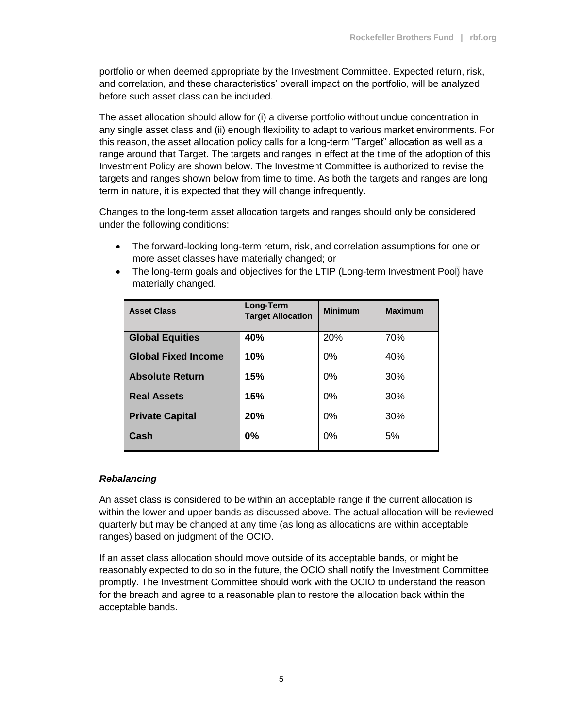portfolio or when deemed appropriate by the Investment Committee. Expected return, risk, and correlation, and these characteristics' overall impact on the portfolio, will be analyzed before such asset class can be included.

The asset allocation should allow for (i) a diverse portfolio without undue concentration in any single asset class and (ii) enough flexibility to adapt to various market environments. For this reason, the asset allocation policy calls for a long-term "Target" allocation as well as a range around that Target. The targets and ranges in effect at the time of the adoption of this Investment Policy are shown below. The Investment Committee is authorized to revise the targets and ranges shown below from time to time. As both the targets and ranges are long term in nature, it is expected that they will change infrequently.

Changes to the long-term asset allocation targets and ranges should only be considered under the following conditions:

- The forward-looking long-term return, risk, and correlation assumptions for one or more asset classes have materially changed; or
- The long-term goals and objectives for the LTIP (Long-term Investment Pool) have materially changed.

| <b>Asset Class</b>         | Long-Term<br><b>Target Allocation</b> | <b>Minimum</b> | <b>Maximum</b> |
|----------------------------|---------------------------------------|----------------|----------------|
| <b>Global Equities</b>     | 40%                                   | 20%            | 70%            |
| <b>Global Fixed Income</b> | 10%                                   | 0%             | 40%            |
| <b>Absolute Return</b>     | 15%                                   | 0%             | 30%            |
| <b>Real Assets</b>         | 15%                                   | 0%             | 30%            |
| <b>Private Capital</b>     | 20%                                   | 0%             | 30%            |
| Cash                       | 0%                                    | 0%             | 5%             |

# *Rebalancing*

An asset class is considered to be within an acceptable range if the current allocation is within the lower and upper bands as discussed above. The actual allocation will be reviewed quarterly but may be changed at any time (as long as allocations are within acceptable ranges) based on judgment of the OCIO.

If an asset class allocation should move outside of its acceptable bands, or might be reasonably expected to do so in the future, the OCIO shall notify the Investment Committee promptly. The Investment Committee should work with the OCIO to understand the reason for the breach and agree to a reasonable plan to restore the allocation back within the acceptable bands.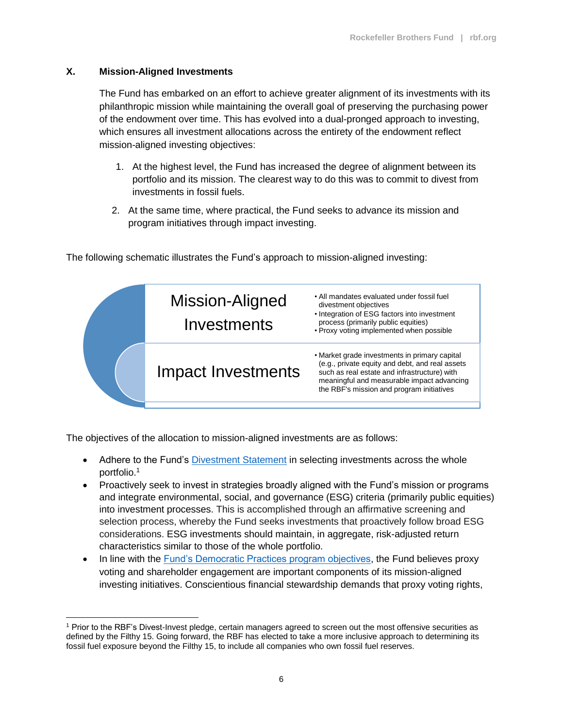# **X. Mission-Aligned Investments**

 $\overline{a}$ 

The Fund has embarked on an effort to achieve greater alignment of its investments with its philanthropic mission while maintaining the overall goal of preserving the purchasing power of the endowment over time. This has evolved into a dual-pronged approach to investing, which ensures all investment allocations across the entirety of the endowment reflect mission-aligned investing objectives:

- 1. At the highest level, the Fund has increased the degree of alignment between its portfolio and its mission. The clearest way to do this was to commit to divest from investments in fossil fuels.
- 2. At the same time, where practical, the Fund seeks to advance its mission and program initiatives through impact investing.



The following schematic illustrates the Fund's approach to mission-aligned investing:

The objectives of the allocation to mission-aligned investments are as follows:

- Adhere to the Fund's [Divestment Statement](http://www.rbf.org/about/divestment) in selecting investments across the whole portfolio. 1
- Proactively seek to invest in strategies broadly aligned with the Fund's mission or programs and integrate environmental, social, and governance (ESG) criteria (primarily public equities) into investment processes. This is accomplished through an affirmative screening and selection process, whereby the Fund seeks investments that proactively follow broad ESG considerations. ESG investments should maintain, in aggregate, risk-adjusted return characteristics similar to those of the whole portfolio.
- In line with the [Fund's Democratic Practices program objectives,](http://www.rbf.org/programs/democratic-practice) the Fund believes proxy voting and shareholder engagement are important components of its mission-aligned investing initiatives. Conscientious financial stewardship demands that proxy voting rights,

<sup>1</sup> Prior to the RBF's Divest-Invest pledge, certain managers agreed to screen out the most offensive securities as defined by the Filthy 15. Going forward, the RBF has elected to take a more inclusive approach to determining its fossil fuel exposure beyond the Filthy 15, to include all companies who own fossil fuel reserves.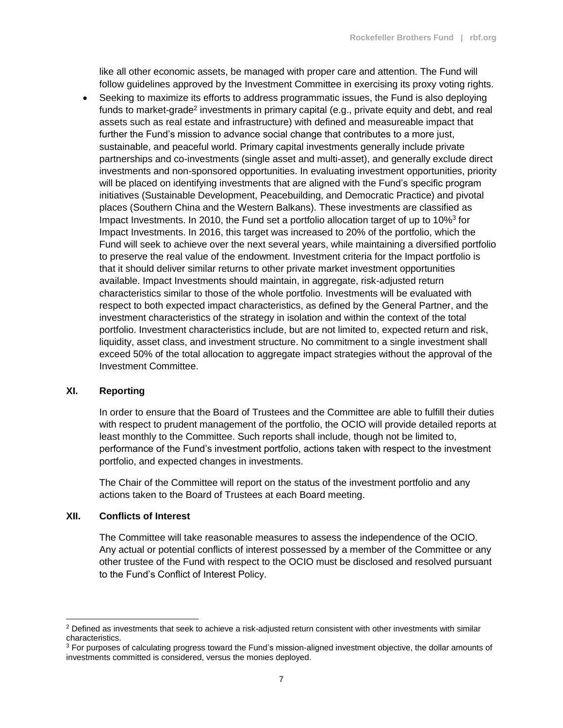like all other economic assets, be managed with proper care and attention. The Fund will follow guidelines approved by the Investment Committee in exercising its proxy voting rights.

 Seeking to maximize its efforts to address programmatic issues, the Fund is also deploying funds to market-grade<sup>2</sup> investments in primary capital (e.g., private equity and debt, and real assets such as real estate and infrastructure) with defined and measureable impact that further the Fund's mission to advance social change that contributes to a more just, sustainable, and peaceful world. Primary capital investments generally include private partnerships and co-investments (single asset and multi-asset), and generally exclude direct investments and non-sponsored opportunities. In evaluating investment opportunities, priority will be placed on identifying investments that are aligned with the Fund's specific program initiatives (Sustainable Development, Peacebuilding, and Democratic Practice) and pivotal places (Southern China and the Western Balkans). These investments are classified as Impact Investments. In 2010, the Fund set a portfolio allocation target of up to 10%<sup>3</sup> for Impact Investments. In 2016, this target was increased to 20% of the portfolio, which the Fund will seek to achieve over the next several years, while maintaining a diversified portfolio to preserve the real value of the endowment. Investment criteria for the Impact portfolio is that it should deliver similar returns to other private market investment opportunities available. Impact Investments should maintain, in aggregate, risk-adjusted return characteristics similar to those of the whole portfolio. Investments will be evaluated with respect to both expected impact characteristics, as defined by the General Partner, and the investment characteristics of the strategy in isolation and within the context of the total portfolio. Investment characteristics include, but are not limited to, expected return and risk, liquidity, asset class, and investment structure. No commitment to a single investment shall exceed 50% of the total allocation to aggregate impact strategies without the approval of the Investment Committee.

#### **XI. Reporting**

In order to ensure that the Board of Trustees and the Committee are able to fulfill their duties with respect to prudent management of the portfolio, the OCIO will provide detailed reports at least monthly to the Committee. Such reports shall include, though not be limited to, performance of the Fund's investment portfolio, actions taken with respect to the investment portfolio, and expected changes in investments.

The Chair of the Committee will report on the status of the investment portfolio and any actions taken to the Board of Trustees at each Board meeting.

#### **XII. Conflicts of Interest**

 $\overline{a}$ 

The Committee will take reasonable measures to assess the independence of the OCIO. Any actual or potential conflicts of interest possessed by a member of the Committee or any other trustee of the Fund with respect to the OCIO must be disclosed and resolved pursuant to the Fund's Conflict of Interest Policy.

 $2$  Defined as investments that seek to achieve a risk-adjusted return consistent with other investments with similar characteristics.

<sup>&</sup>lt;sup>3</sup> For purposes of calculating progress toward the Fund's mission-aligned investment objective, the dollar amounts of investments committed is considered, versus the monies deployed.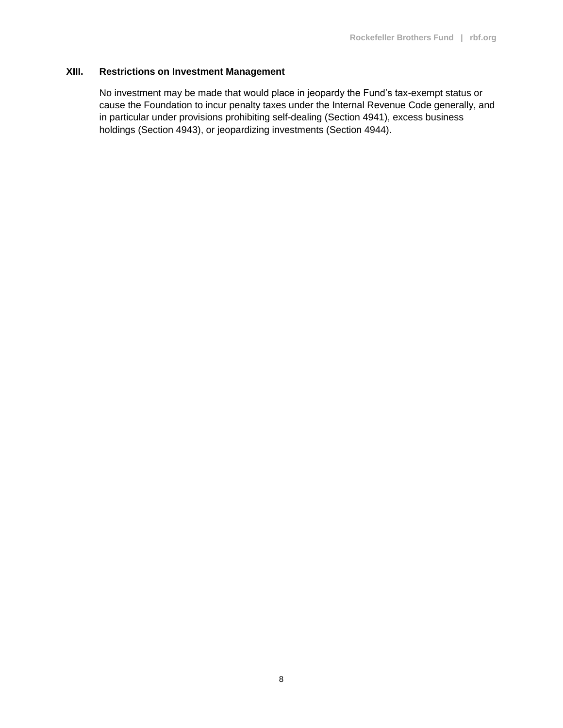## **XIII. Restrictions on Investment Management**

No investment may be made that would place in jeopardy the Fund's tax-exempt status or cause the Foundation to incur penalty taxes under the Internal Revenue Code generally, and in particular under provisions prohibiting self-dealing (Section 4941), excess business holdings (Section 4943), or jeopardizing investments (Section 4944).